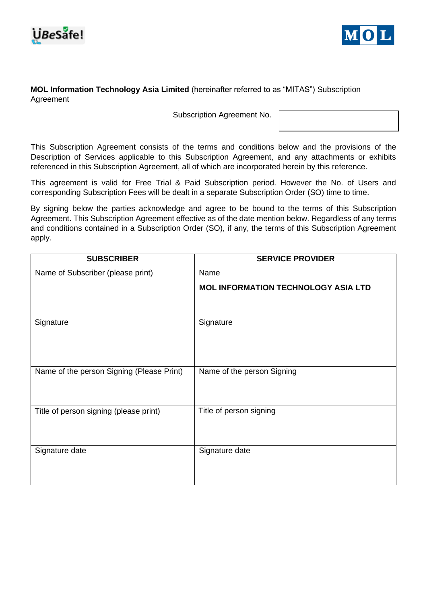



## **MOL Information Technology Asia Limited** (hereinafter referred to as "MITAS") Subscription Agreement

Subscription Agreement No.

This Subscription Agreement consists of the terms and conditions below and the provisions of the Description of Services applicable to this Subscription Agreement, and any attachments or exhibits referenced in this Subscription Agreement, all of which are incorporated herein by this reference.

This agreement is valid for Free Trial & Paid Subscription period. However the No. of Users and corresponding Subscription Fees will be dealt in a separate Subscription Order (SO) time to time.

By signing below the parties acknowledge and agree to be bound to the terms of this Subscription Agreement. This Subscription Agreement effective as of the date mention below. Regardless of any terms and conditions contained in a Subscription Order (SO), if any, the terms of this Subscription Agreement apply.

| <b>SUBSCRIBER</b>                         | <b>SERVICE PROVIDER</b>                    |  |  |
|-------------------------------------------|--------------------------------------------|--|--|
| Name of Subscriber (please print)         | Name                                       |  |  |
|                                           | <b>MOL INFORMATION TECHNOLOGY ASIA LTD</b> |  |  |
| Signature                                 | Signature                                  |  |  |
| Name of the person Signing (Please Print) | Name of the person Signing                 |  |  |
| Title of person signing (please print)    | Title of person signing                    |  |  |
| Signature date                            | Signature date                             |  |  |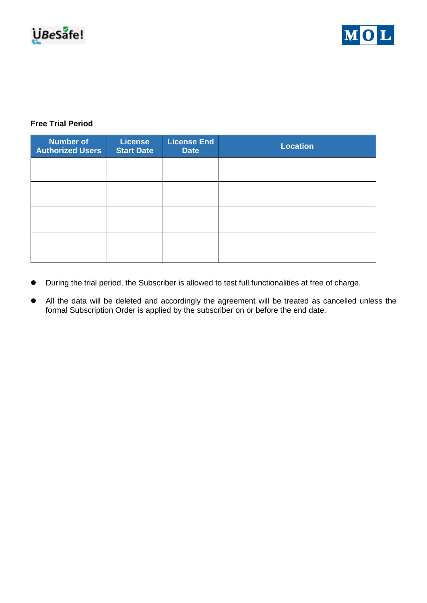



# **Free Trial Period**

| <b>Number of</b><br><b>Authorized Users</b> | <b>License</b><br><b>Start Date</b> | <b>License End</b><br><b>Date</b> | <b>Location</b> |  |
|---------------------------------------------|-------------------------------------|-----------------------------------|-----------------|--|
|                                             |                                     |                                   |                 |  |
|                                             |                                     |                                   |                 |  |
|                                             |                                     |                                   |                 |  |
|                                             |                                     |                                   |                 |  |

- ⚫ During the trial period, the Subscriber is allowed to test full functionalities at free of charge.
- ⚫ All the data will be deleted and accordingly the agreement will be treated as cancelled unless the formal Subscription Order is applied by the subscriber on or before the end date.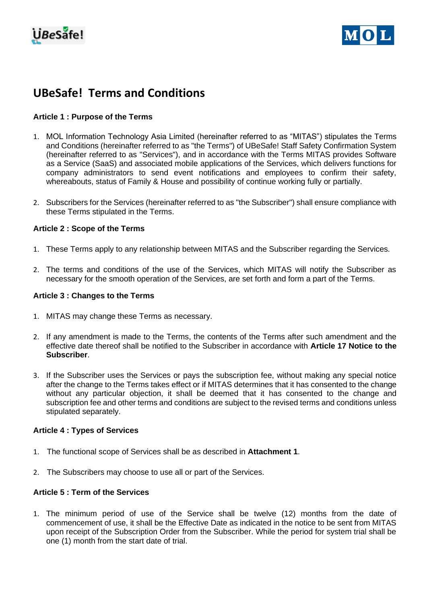



# **UBeSafe! Terms and Conditions**

## **Article 1 : Purpose of the Terms**

- 1. MOL Information Technology Asia Limited (hereinafter referred to as "MITAS") stipulates the Terms and Conditions (hereinafter referred to as "the Terms") of UBeSafe! Staff Safety Confirmation System (hereinafter referred to as "Services"), and in accordance with the Terms MITAS provides Software as a Service (SaaS) and associated mobile applications of the Services, which delivers functions for company administrators to send event notifications and employees to confirm their safety, whereabouts, status of Family & House and possibility of continue working fully or partially.
- 2. Subscribers for the Services (hereinafter referred to as "the Subscriber") shall ensure compliance with these Terms stipulated in the Terms.

## **Article 2 : Scope of the Terms**

- 1. These Terms apply to any relationship between MITAS and the Subscriber regarding the Services.
- 2. The terms and conditions of the use of the Services, which MITAS will notify the Subscriber as necessary for the smooth operation of the Services, are set forth and form a part of the Terms.

#### **Article 3 : Changes to the Terms**

- 1. MITAS may change these Terms as necessary.
- 2. If any amendment is made to the Terms, the contents of the Terms after such amendment and the effective date thereof shall be notified to the Subscriber in accordance with **Article 17 Notice to the Subscriber**.
- 3. If the Subscriber uses the Services or pays the subscription fee, without making any special notice after the change to the Terms takes effect or if MITAS determines that it has consented to the change without any particular objection, it shall be deemed that it has consented to the change and subscription fee and other terms and conditions are subject to the revised terms and conditions unless stipulated separately.

## **Article 4 : Types of Services**

- 1. The functional scope of Services shall be as described in **Attachment 1**.
- 2. The Subscribers may choose to use all or part of the Services.

## **Article 5 : Term of the Services**

1. The minimum period of use of the Service shall be twelve (12) months from the date of commencement of use, it shall be the Effective Date as indicated in the notice to be sent from MITAS upon receipt of the Subscription Order from the Subscriber. While the period for system trial shall be one (1) month from the start date of trial.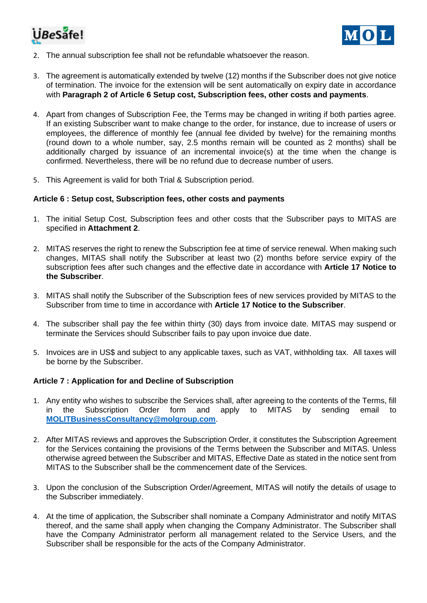



- 2. The annual subscription fee shall not be refundable whatsoever the reason.
- 3. The agreement is automatically extended by twelve (12) months if the Subscriber does not give notice of termination. The invoice for the extension will be sent automatically on expiry date in accordance with **Paragraph 2 of Article 6 Setup cost, Subscription fees, other costs and payments**.
- 4. Apart from changes of Subscription Fee, the Terms may be changed in writing if both parties agree. If an existing Subscriber want to make change to the order, for instance, due to increase of users or employees, the difference of monthly fee (annual fee divided by twelve) for the remaining months (round down to a whole number, say, 2.5 months remain will be counted as 2 months) shall be additionally charged by issuance of an incremental invoice(s) at the time when the change is confirmed. Nevertheless, there will be no refund due to decrease number of users.
- 5. This Agreement is valid for both Trial & Subscription period.

## **Article 6 : Setup cost, Subscription fees, other costs and payments**

- 1. The initial Setup Cost, Subscription fees and other costs that the Subscriber pays to MITAS are specified in **Attachment 2**.
- 2. MITAS reserves the right to renew the Subscription fee at time of service renewal. When making such changes, MITAS shall notify the Subscriber at least two (2) months before service expiry of the subscription fees after such changes and the effective date in accordance with **Article 17 Notice to the Subscriber**.
- 3. MITAS shall notify the Subscriber of the Subscription fees of new services provided by MITAS to the Subscriber from time to time in accordance with **Article 17 Notice to the Subscriber**.
- 4. The subscriber shall pay the fee within thirty (30) days from invoice date. MITAS may suspend or terminate the Services should Subscriber fails to pay upon invoice due date.
- 5. Invoices are in US\$ and subject to any applicable taxes, such as VAT, withholding tax. All taxes will be borne by the Subscriber.

## **Article 7 : Application for and Decline of Subscription**

- 1. Any entity who wishes to subscribe the Services shall, after agreeing to the contents of the Terms, fill in the Subscription Order form and apply to MITAS by sending email to **[MOLITBusinessConsultancy@molgroup.com](mailto:MOLITBusinessConsultancy@molgroup.com)**.
- 2. After MITAS reviews and approves the Subscription Order, it constitutes the Subscription Agreement for the Services containing the provisions of the Terms between the Subscriber and MITAS. Unless otherwise agreed between the Subscriber and MITAS, Effective Date as stated in the notice sent from MITAS to the Subscriber shall be the commencement date of the Services.
- 3. Upon the conclusion of the Subscription Order/Agreement, MITAS will notify the details of usage to the Subscriber immediately.
- 4. At the time of application, the Subscriber shall nominate a Company Administrator and notify MITAS thereof, and the same shall apply when changing the Company Administrator. The Subscriber shall have the Company Administrator perform all management related to the Service Users, and the Subscriber shall be responsible for the acts of the Company Administrator.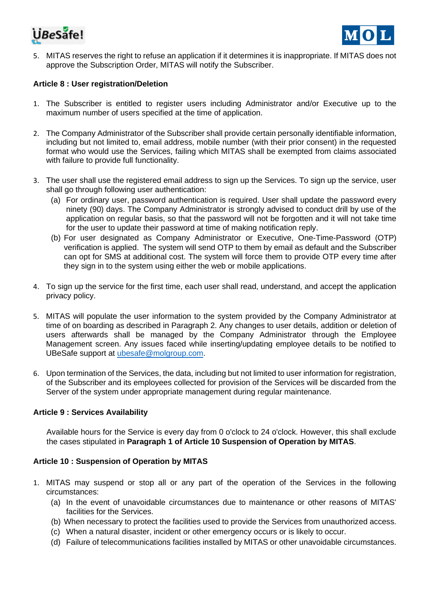



5. MITAS reserves the right to refuse an application if it determines it is inappropriate. If MITAS does not approve the Subscription Order, MITAS will notify the Subscriber.

## **Article 8 : User registration/Deletion**

- 1. The Subscriber is entitled to register users including Administrator and/or Executive up to the maximum number of users specified at the time of application.
- 2. The Company Administrator of the Subscriber shall provide certain personally identifiable information, including but not limited to, email address, mobile number (with their prior consent) in the requested format who would use the Services, failing which MITAS shall be exempted from claims associated with failure to provide full functionality.
- 3. The user shall use the registered email address to sign up the Services. To sign up the service, user shall go through following user authentication:
	- (a) For ordinary user, password authentication is required. User shall update the password every ninety (90) days. The Company Administrator is strongly advised to conduct drill by use of the application on regular basis, so that the password will not be forgotten and it will not take time for the user to update their password at time of making notification reply.
	- (b) For user designated as Company Administrator or Executive, One-Time-Password (OTP) verification is applied. The system will send OTP to them by email as default and the Subscriber can opt for SMS at additional cost. The system will force them to provide OTP every time after they sign in to the system using either the web or mobile applications.
- 4. To sign up the service for the first time, each user shall read, understand, and accept the application privacy policy.
- 5. MITAS will populate the user information to the system provided by the Company Administrator at time of on boarding as described in Paragraph 2. Any changes to user details, addition or deletion of users afterwards shall be managed by the Company Administrator through the Employee Management screen. Any issues faced while inserting/updating employee details to be notified to UBeSafe support at [ubesafe@molgroup.com.](mailto:ubesafe@molgroup.com)
- 6. Upon termination of the Services, the data, including but not limited to user information for registration, of the Subscriber and its employees collected for provision of the Services will be discarded from the Server of the system under appropriate management during regular maintenance.

## **Article 9 : Services Availability**

Available hours for the Service is every day from 0 o'clock to 24 o'clock. However, this shall exclude the cases stipulated in **Paragraph 1 of Article 10 Suspension of Operation by MITAS**.

## **Article 10 : Suspension of Operation by MITAS**

- 1. MITAS may suspend or stop all or any part of the operation of the Services in the following circumstances:
	- (a) In the event of unavoidable circumstances due to maintenance or other reasons of MITAS' facilities for the Services.
	- (b) When necessary to protect the facilities used to provide the Services from unauthorized access.
	- (c) When a natural disaster, incident or other emergency occurs or is likely to occur.
	- (d) Failure of telecommunications facilities installed by MITAS or other unavoidable circumstances.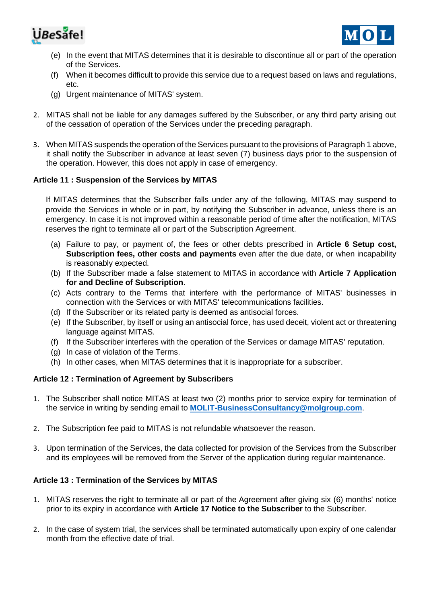



- (e) In the event that MITAS determines that it is desirable to discontinue all or part of the operation of the Services.
- (f) When it becomes difficult to provide this service due to a request based on laws and regulations, etc.
- (g) Urgent maintenance of MITAS' system.
- 2. MITAS shall not be liable for any damages suffered by the Subscriber, or any third party arising out of the cessation of operation of the Services under the preceding paragraph.
- 3. When MITAS suspends the operation of the Services pursuant to the provisions of Paragraph 1 above, it shall notify the Subscriber in advance at least seven (7) business days prior to the suspension of the operation. However, this does not apply in case of emergency.

## **Article 11 : Suspension of the Services by MITAS**

If MITAS determines that the Subscriber falls under any of the following, MITAS may suspend to provide the Services in whole or in part, by notifying the Subscriber in advance, unless there is an emergency. In case it is not improved within a reasonable period of time after the notification, MITAS reserves the right to terminate all or part of the Subscription Agreement.

- (a) Failure to pay, or payment of, the fees or other debts prescribed in **Article 6 Setup cost, Subscription fees, other costs and payments** even after the due date, or when incapability is reasonably expected.
- (b) If the Subscriber made a false statement to MITAS in accordance with **Article 7 Application for and Decline of Subscription**.
- (c) Acts contrary to the Terms that interfere with the performance of MITAS' businesses in connection with the Services or with MITAS' telecommunications facilities.
- (d) If the Subscriber or its related party is deemed as antisocial forces.
- (e) If the Subscriber, by itself or using an antisocial force, has used deceit, violent act or threatening language against MITAS.
- (f) If the Subscriber interferes with the operation of the Services or damage MITAS' reputation.
- (g) In case of violation of the Terms.
- (h) In other cases, when MITAS determines that it is inappropriate for a subscriber.

## **Article 12 : Termination of Agreement by Subscribers**

- 1. The Subscriber shall notice MITAS at least two (2) months prior to service expiry for termination of the service in writing by sending email to **[MOLIT-BusinessConsultancy@molgroup.com](mailto:MOLIT-BusinessConsultancy@molgroup.com)**.
- 2. The Subscription fee paid to MITAS is not refundable whatsoever the reason.
- 3. Upon termination of the Services, the data collected for provision of the Services from the Subscriber and its employees will be removed from the Server of the application during regular maintenance.

## **Article 13 : Termination of the Services by MITAS**

- 1. MITAS reserves the right to terminate all or part of the Agreement after giving six (6) months' notice prior to its expiry in accordance with **Article 17 Notice to the Subscriber** to the Subscriber.
- 2. In the case of system trial, the services shall be terminated automatically upon expiry of one calendar month from the effective date of trial.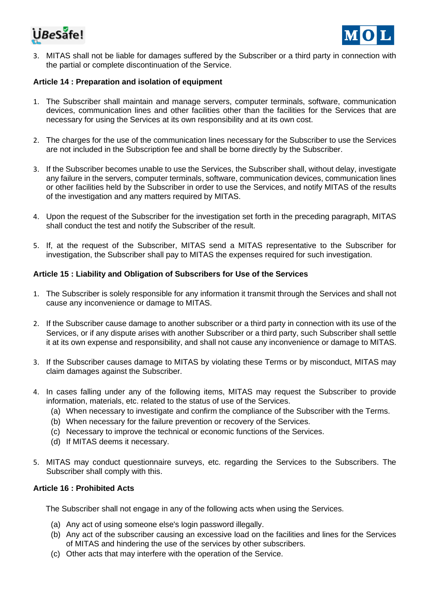



3. MITAS shall not be liable for damages suffered by the Subscriber or a third party in connection with the partial or complete discontinuation of the Service.

## **Article 14 : Preparation and isolation of equipment**

- 1. The Subscriber shall maintain and manage servers, computer terminals, software, communication devices, communication lines and other facilities other than the facilities for the Services that are necessary for using the Services at its own responsibility and at its own cost.
- 2. The charges for the use of the communication lines necessary for the Subscriber to use the Services are not included in the Subscription fee and shall be borne directly by the Subscriber.
- 3. If the Subscriber becomes unable to use the Services, the Subscriber shall, without delay, investigate any failure in the servers, computer terminals, software, communication devices, communication lines or other facilities held by the Subscriber in order to use the Services, and notify MITAS of the results of the investigation and any matters required by MITAS.
- 4. Upon the request of the Subscriber for the investigation set forth in the preceding paragraph, MITAS shall conduct the test and notify the Subscriber of the result.
- 5. If, at the request of the Subscriber, MITAS send a MITAS representative to the Subscriber for investigation, the Subscriber shall pay to MITAS the expenses required for such investigation.

#### **Article 15 : Liability and Obligation of Subscribers for Use of the Services**

- 1. The Subscriber is solely responsible for any information it transmit through the Services and shall not cause any inconvenience or damage to MITAS.
- 2. If the Subscriber cause damage to another subscriber or a third party in connection with its use of the Services, or if any dispute arises with another Subscriber or a third party, such Subscriber shall settle it at its own expense and responsibility, and shall not cause any inconvenience or damage to MITAS.
- 3. If the Subscriber causes damage to MITAS by violating these Terms or by misconduct, MITAS may claim damages against the Subscriber.
- 4. In cases falling under any of the following items, MITAS may request the Subscriber to provide information, materials, etc. related to the status of use of the Services.
	- (a) When necessary to investigate and confirm the compliance of the Subscriber with the Terms.
	- (b) When necessary for the failure prevention or recovery of the Services.
	- (c) Necessary to improve the technical or economic functions of the Services.
	- (d) If MITAS deems it necessary.
- 5. MITAS may conduct questionnaire surveys, etc. regarding the Services to the Subscribers. The Subscriber shall comply with this.

#### **Article 16 : Prohibited Acts**

The Subscriber shall not engage in any of the following acts when using the Services.

- (a) Any act of using someone else's login password illegally.
- (b) Any act of the subscriber causing an excessive load on the facilities and lines for the Services of MITAS and hindering the use of the services by other subscribers.
- (c) Other acts that may interfere with the operation of the Service.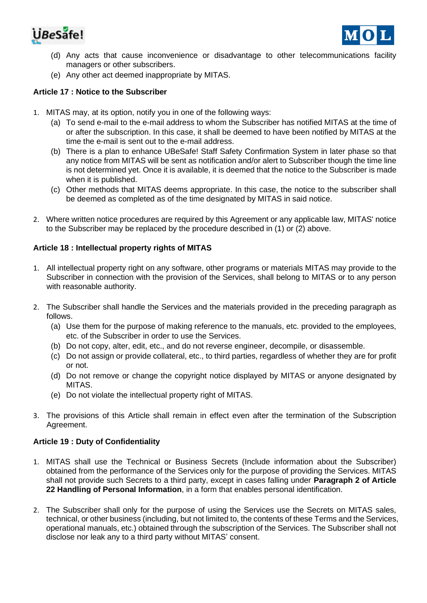



- (d) Any acts that cause inconvenience or disadvantage to other telecommunications facility managers or other subscribers.
- (e) Any other act deemed inappropriate by MITAS.

## **Article 17 : Notice to the Subscriber**

- 1. MITAS may, at its option, notify you in one of the following ways:
	- (a) To send e-mail to the e-mail address to whom the Subscriber has notified MITAS at the time of or after the subscription. In this case, it shall be deemed to have been notified by MITAS at the time the e-mail is sent out to the e-mail address.
	- (b) There is a plan to enhance UBeSafe! Staff Safety Confirmation System in later phase so that any notice from MITAS will be sent as notification and/or alert to Subscriber though the time line is not determined yet. Once it is available, it is deemed that the notice to the Subscriber is made when it is published.
	- (c) Other methods that MITAS deems appropriate. In this case, the notice to the subscriber shall be deemed as completed as of the time designated by MITAS in said notice.
- 2. Where written notice procedures are required by this Agreement or any applicable law, MITAS' notice to the Subscriber may be replaced by the procedure described in (1) or (2) above.

#### **Article 18 : Intellectual property rights of MITAS**

- 1. All intellectual property right on any software, other programs or materials MITAS may provide to the Subscriber in connection with the provision of the Services, shall belong to MITAS or to any person with reasonable authority.
- 2. The Subscriber shall handle the Services and the materials provided in the preceding paragraph as follows.
	- (a) Use them for the purpose of making reference to the manuals, etc. provided to the employees, etc. of the Subscriber in order to use the Services.
	- (b) Do not copy, alter, edit, etc., and do not reverse engineer, decompile, or disassemble.
	- (c) Do not assign or provide collateral, etc., to third parties, regardless of whether they are for profit or not.
	- (d) Do not remove or change the copyright notice displayed by MITAS or anyone designated by MITAS.
	- (e) Do not violate the intellectual property right of MITAS.
- 3. The provisions of this Article shall remain in effect even after the termination of the Subscription Agreement.

#### **Article 19 : Duty of Confidentiality**

- 1. MITAS shall use the Technical or Business Secrets (Include information about the Subscriber) obtained from the performance of the Services only for the purpose of providing the Services. MITAS shall not provide such Secrets to a third party, except in cases falling under **Paragraph 2 of Article 22 Handling of Personal Information**, in a form that enables personal identification.
- 2. The Subscriber shall only for the purpose of using the Services use the Secrets on MITAS sales, technical, or other business (including, but not limited to, the contents of these Terms and the Services, operational manuals, etc.) obtained through the subscription of the Services. The Subscriber shall not disclose nor leak any to a third party without MITAS' consent.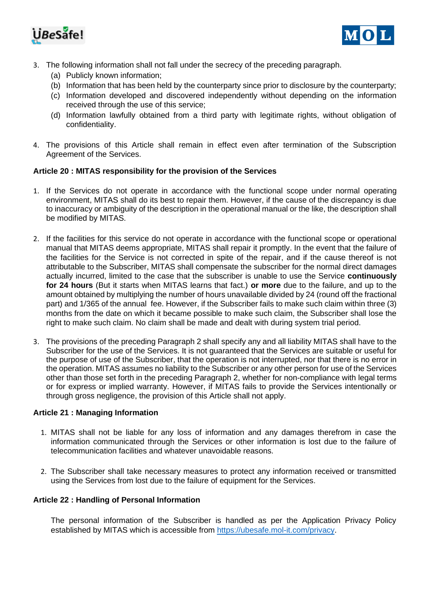



- 3. The following information shall not fall under the secrecy of the preceding paragraph.
	- (a) Publicly known information;
	- (b) Information that has been held by the counterparty since prior to disclosure by the counterparty;
	- (c) Information developed and discovered independently without depending on the information received through the use of this service;
	- (d) Information lawfully obtained from a third party with legitimate rights, without obligation of confidentiality.
- 4. The provisions of this Article shall remain in effect even after termination of the Subscription Agreement of the Services.

## **Article 20 : MITAS responsibility for the provision of the Services**

- 1. If the Services do not operate in accordance with the functional scope under normal operating environment, MITAS shall do its best to repair them. However, if the cause of the discrepancy is due to inaccuracy or ambiguity of the description in the operational manual or the like, the description shall be modified by MITAS.
- 2. If the facilities for this service do not operate in accordance with the functional scope or operational manual that MITAS deems appropriate, MITAS shall repair it promptly. In the event that the failure of the facilities for the Service is not corrected in spite of the repair, and if the cause thereof is not attributable to the Subscriber, MITAS shall compensate the subscriber for the normal direct damages actually incurred, limited to the case that the subscriber is unable to use the Service **continuously for 24 hours** (But it starts when MITAS learns that fact.) **or more** due to the failure, and up to the amount obtained by multiplying the number of hours unavailable divided by 24 (round off the fractional part) and 1/365 of the annual fee. However, if the Subscriber fails to make such claim within three (3) months from the date on which it became possible to make such claim, the Subscriber shall lose the right to make such claim. No claim shall be made and dealt with during system trial period.
- 3. The provisions of the preceding Paragraph 2 shall specify any and all liability MITAS shall have to the Subscriber for the use of the Services. It is not guaranteed that the Services are suitable or useful for the purpose of use of the Subscriber, that the operation is not interrupted, nor that there is no error in the operation. MITAS assumes no liability to the Subscriber or any other person for use of the Services other than those set forth in the preceding Paragraph 2, whether for non-compliance with legal terms or for express or implied warranty. However, if MITAS fails to provide the Services intentionally or through gross negligence, the provision of this Article shall not apply.

## **Article 21 : Managing Information**

- 1. MITAS shall not be liable for any loss of information and any damages therefrom in case the information communicated through the Services or other information is lost due to the failure of telecommunication facilities and whatever unavoidable reasons.
- 2. The Subscriber shall take necessary measures to protect any information received or transmitted using the Services from lost due to the failure of equipment for the Services.

## **Article 22 : Handling of Personal Information**

The personal information of the Subscriber is handled as per the Application Privacy Policy established by MITAS which is accessible from [https://ubesafe.mol-it.com/privacy.](https://ubesafe.mol-it.com/privacy)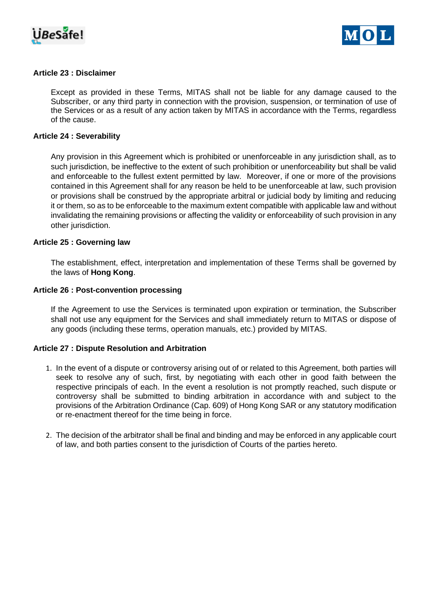



## **Article 23 : Disclaimer**

Except as provided in these Terms, MITAS shall not be liable for any damage caused to the Subscriber, or any third party in connection with the provision, suspension, or termination of use of the Services or as a result of any action taken by MITAS in accordance with the Terms, regardless of the cause.

#### **Article 24 : Severability**

Any provision in this Agreement which is prohibited or unenforceable in any jurisdiction shall, as to such jurisdiction, be ineffective to the extent of such prohibition or unenforceability but shall be valid and enforceable to the fullest extent permitted by law. Moreover, if one or more of the provisions contained in this Agreement shall for any reason be held to be unenforceable at law, such provision or provisions shall be construed by the appropriate arbitral or judicial body by limiting and reducing it or them, so as to be enforceable to the maximum extent compatible with applicable law and without invalidating the remaining provisions or affecting the validity or enforceability of such provision in any other jurisdiction.

#### **Article 25 : Governing law**

The establishment, effect, interpretation and implementation of these Terms shall be governed by the laws of **Hong Kong**.

#### **Article 26 : Post-convention processing**

If the Agreement to use the Services is terminated upon expiration or termination, the Subscriber shall not use any equipment for the Services and shall immediately return to MITAS or dispose of any goods (including these terms, operation manuals, etc.) provided by MITAS.

#### **Article 27 : Dispute Resolution and Arbitration**

- 1. In the event of a dispute or controversy arising out of or related to this Agreement, both parties will seek to resolve any of such, first, by negotiating with each other in good faith between the respective principals of each. In the event a resolution is not promptly reached, such dispute or controversy shall be submitted to binding arbitration in accordance with and subject to the provisions of the Arbitration Ordinance (Cap. 609) of Hong Kong SAR or any statutory modification or re-enactment thereof for the time being in force.
- 2. The decision of the arbitrator shall be final and binding and may be enforced in any applicable court of law, and both parties consent to the jurisdiction of Courts of the parties hereto.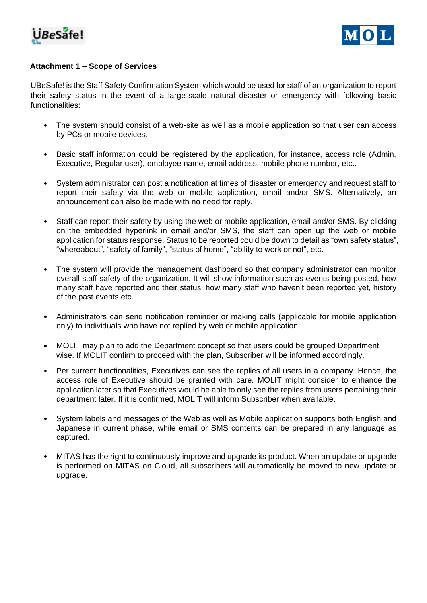



## **Attachment 1 – Scope of Services**

UBeSafe! is the Staff Safety Confirmation System which would be used for staff of an organization to report their safety status in the event of a large-scale natural disaster or emergency with following basic functionalities:

- The system should consist of a web-site as well as a mobile application so that user can access by PCs or mobile devices.
- Basic staff information could be registered by the application, for instance, access role (Admin, Executive, Regular user), employee name, email address, mobile phone number, etc..
- System administrator can post a notification at times of disaster or emergency and request staff to report their safety via the web or mobile application, email and/or SMS. Alternatively, an announcement can also be made with no need for reply.
- Staff can report their safety by using the web or mobile application, email and/or SMS. By clicking on the embedded hyperlink in email and/or SMS, the staff can open up the web or mobile application for status response. Status to be reported could be down to detail as "own safety status", "whereabout", "safety of family", "status of home", "ability to work or not", etc.
- The system will provide the management dashboard so that company administrator can monitor overall staff safety of the organization. It will show information such as events being posted, how many staff have reported and their status, how many staff who haven't been reported yet, history of the past events etc.
- Administrators can send notification reminder or making calls (applicable for mobile application only) to individuals who have not replied by web or mobile application.
- MOLIT may plan to add the Department concept so that users could be grouped Department wise. If MOLIT confirm to proceed with the plan, Subscriber will be informed accordingly.
- Per current functionalities, Executives can see the replies of all users in a company. Hence, the access role of Executive should be granted with care. MOLIT might consider to enhance the application later so that Executives would be able to only see the replies from users pertaining their department later. If it is confirmed, MOLIT will inform Subscriber when available.
- System labels and messages of the Web as well as Mobile application supports both English and Japanese in current phase, while email or SMS contents can be prepared in any language as captured.
- MITAS has the right to continuously improve and upgrade its product. When an update or upgrade is performed on MITAS on Cloud, all subscribers will automatically be moved to new update or upgrade.